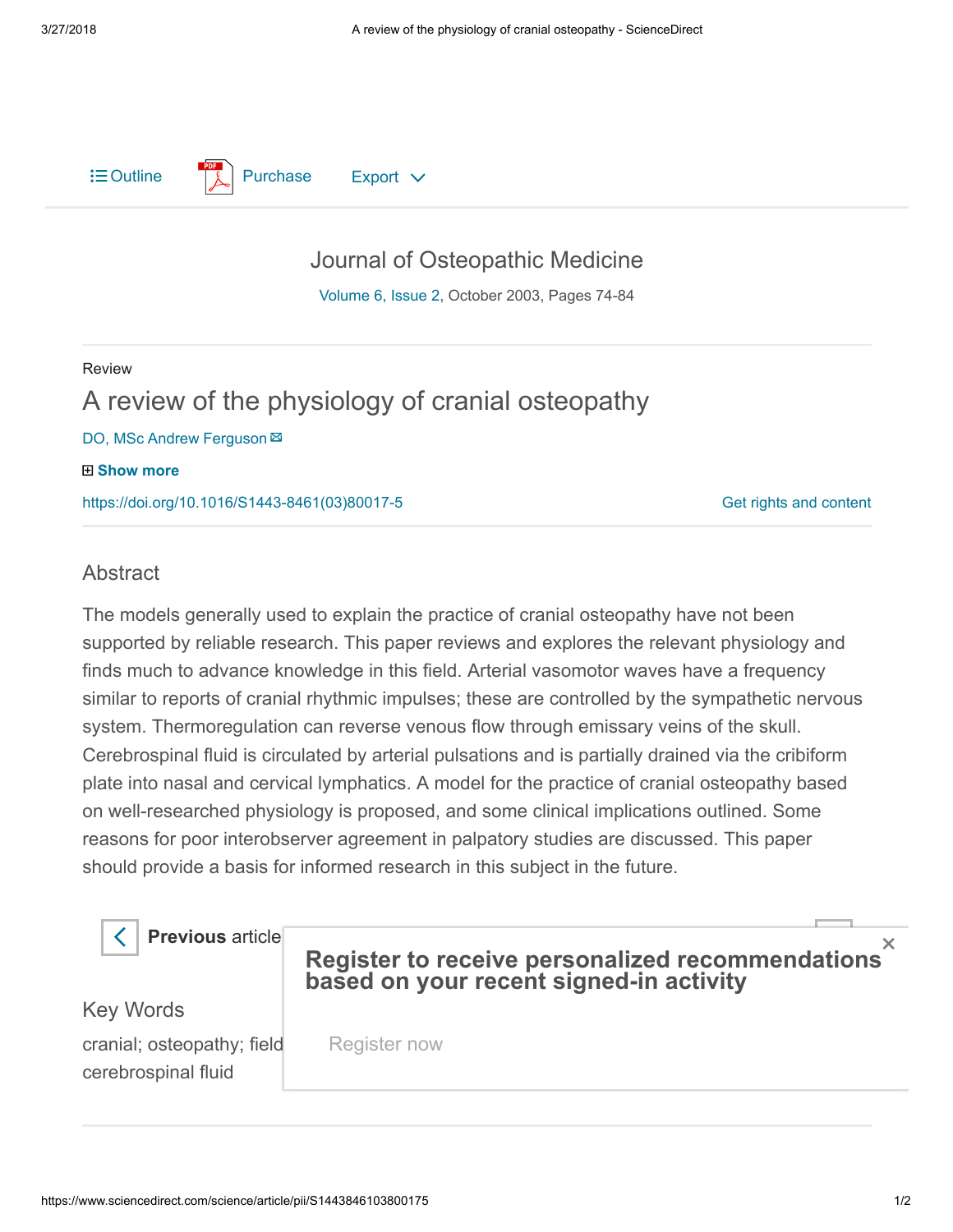$\equiv$  Outline  $\parallel$  [Purchase](https://www.sciencedirect.com/science?_ob=ShoppingCartURL&_method=add&_eid=1-s2.0-S1443846103800175&originContentFamily=serial&_origin=article&_ts=1522172494&md5=3c0d365fa3d9f18bb938ecdb2a938f5c) Export  $\vee$ 

## [Journal of Osteopathic Medicine](https://www.sciencedirect.com/science/journal/14438461)

[Volume 6, Issue 2](https://www.sciencedirect.com/science/journal/14438461/6/2), October 2003, Pages 74-84

## Review A review of the physiology of cranial osteopathy DO, MSc Andrew Ferguson 田 Show more

[https://doi.org/10.1016/S1443-8461\(03\)80017-5](https://doi.org/10.1016/S1443-8461(03)80017-5)

[Get rights and content](https://s100.copyright.com/AppDispatchServlet?publisherName=ELS&contentID=S1443846103800175&orderBeanReset=true)

## **Abstract**

The models generally used to explain the practice of cranial osteopathy have not been supported by reliable research. This paper reviews and explores the relevant physiology and finds much to advance knowledge in this field. Arterial vasomotor waves have a frequency similar to reports of cranial rhythmic impulses; these are controlled by the sympathetic nervous system. Thermoregulation can reverse venous flow through emissary veins of the skull. Cerebrospinal fluid is circulated by arterial pulsations and is partially drained via the cribiform plate into nasal and cervical lymphatics. A model for the practice of cranial osteopathy based on well-researched physiology is proposed, and some clinical implications outlined. Some reasons for poor interobserver agreement in palpatory studies are discussed. This paper should provide a basis for informed research in this subject in the future.

**Previous** article

## Register to receive personalized re[commendatio](https://www.sciencedirect.com/science/article/pii/S1443846103800187)ns based on your recent signed-in activity

Key Words

cranial; osteopathy; field cerebrospinal fluid

Register now

×